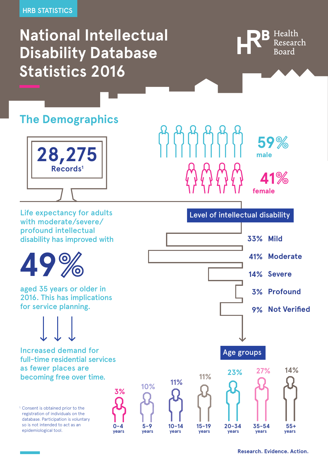### **National Intellectual Disability Database Statistics 2016**



**male**

**female**

**59**

**41**

#### **The Demographics**



Life expectancy for adults with moderate/severe/ profound intellectual disability has improved with



aged 35 years or older in 2016. This has implications for service planning.



Increased demand for full-time residential services as fewer places are becoming free over time.

<sup>1.</sup> Consent is obtained prior to the registration of individuals on the database. Participation is voluntary so is not intended to act as an epidemiological tool.











Level of intellectual disability

<u>AAAAAA</u>



**Research. Evidence. Action.**